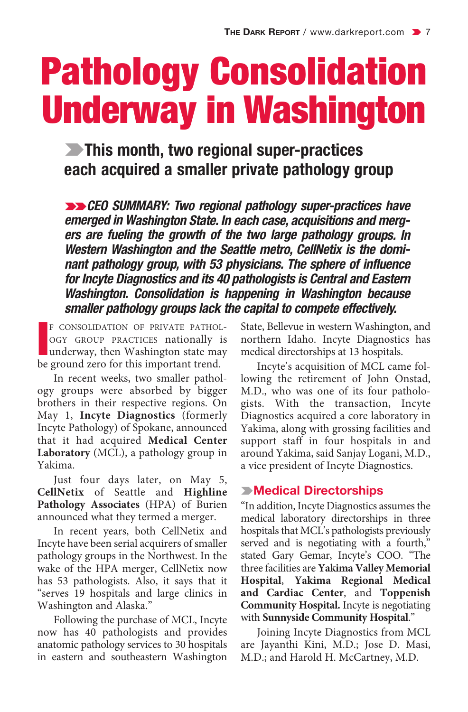# Pathology Consolidation Underway in Washington

k**This month, two regional super-practices each acquired a smaller private pathology group**

kk*CEO SUMMARY: Two regional pathology super-practices have emerged in Washington State. In each case, acquisitions and mergers are fueling the growth of the two large pathology groups. In Western Washington and the Seattle metro, CellNetix is the dominant pathology group, with 53 physicians. The sphere of influence for Incyte Diagnostics and its 40 pathologists is Central and Eastern Washington. Consolidation is happening in Washington because smaller pathology groups lack the capital to compete effectively.*

**I**F CONSOLIDATION OF PRIVATE PATHOLOGY GROUP PRACTICES nationally is underway, then Washington state make ground zero for this important trend. F CONSOLIDATION OF PRIVATE PATHOL-OGY GROUP PRACTICES nationally is underway, then Washington state may

In recent weeks, two smaller pathology groups were absorbed by bigger brothers in their respective regions. On May 1, **Incyte Diagnostics** (formerly Incyte Pathology) of Spokane, announced that it had acquired **Medical Center Laboratory** (MCL), a pathology group in Yakima.

Just four days later, on May 5, **CellNetix** of Seattle and **Highline Pathology Associates** (HPA) of Burien announced what they termed a merger.

In recent years, both CellNetix and Incyte have been serial acquirers of smaller pathology groups in the Northwest. In the wake of the HPA merger, CellNetix now has 53 pathologists. Also, it says that it "serves 19 hospitals and large clinics in Washington and Alaska."

Following the purchase of MCL, Incyte now has 40 pathologists and provides anatomic pathology services to 30 hospitals in eastern and southeastern Washington State, Bellevue in western Washington, and northern Idaho. Incyte Diagnostics has medical directorships at 13 hospitals.

Incyte's acquisition of MCL came following the retirement of John Onstad, M.D., who was one of its four pathologists. With the transaction, Incyte Diagnostics acquired a core laboratory in Yakima, along with grossing facilities and support staff in four hospitals in and around Yakima, said Sanjay Logani, M.D., a vice president of Incyte Diagnostics.

# k**Medical Directorships**

"In addition, Incyte Diagnostics assumes the medical laboratory directorships in three hospitals that MCL's pathologists previously served and is negotiating with a fourth," stated Gary Gemar, Incyte's COO. "The three facilities are **Yakima Valley Memorial Hospital**, **Yakima Regional Medical and Cardiac Center**, and **Toppenish Community Hospital.** Incyte is negotiating with **Sunnyside Community Hospital**."

Joining Incyte Diagnostics from MCL are Jayanthi Kini, M.D.; Jose D. Masi, M.D.; and Harold H. McCartney, M.D.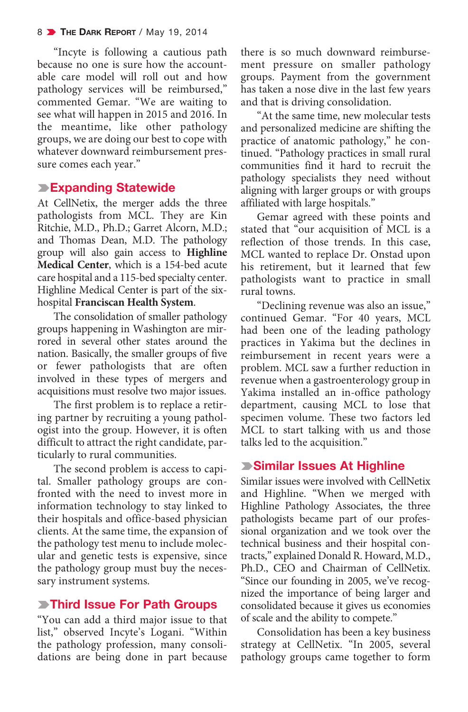"Incyte is following a cautious path because no one is sure how the accountable care model will roll out and how pathology services will be reimbursed," commented Gemar. "We are waiting to see what will happen in 2015 and 2016. In the meantime, like other pathology groups, we are doing our best to cope with whatever downward reimbursement pressure comes each year."

### k**Expanding Statewide**

At CellNetix, the merger adds the three pathologists from MCL. They are Kin Ritchie, M.D., Ph.D.; Garret Alcorn, M.D.; and Thomas Dean, M.D. The pathology group will also gain access to **Highline Medical Center**, which is a 154-bed acute care hospital and a 115-bed specialty center. Highline Medical Center is part of the sixhospital **Franciscan Health System**.

The consolidation of smaller pathology groups happening in Washington are mirrored in several other states around the nation. Basically, the smaller groups of five or fewer pathologists that are often involved in these types of mergers and acquisitions must resolve two major issues.

The first problem is to replace a retiring partner by recruiting a young pathologist into the group. However, it is often difficult to attract the right candidate, particularly to rural communities.

The second problem is access to capital. Smaller pathology groups are confronted with the need to invest more in information technology to stay linked to their hospitals and office-based physician clients. At the same time, the expansion of the pathology test menu to include molecular and genetic tests is expensive, since the pathology group must buy the necessary instrument systems.

## k**Third Issue For Path Groups**

"You can add a third major issue to that list," observed Incyte's Logani. "Within the pathology profession, many consolidations are being done in part because

there is so much downward reimbursement pressure on smaller pathology groups. Payment from the government has taken a nose dive in the last few years and that is driving consolidation.

"At the same time, new molecular tests and personalized medicine are shifting the practice of anatomic pathology," he continued. "Pathology practices in small rural communities find it hard to recruit the pathology specialists they need without aligning with larger groups or with groups affiliated with large hospitals."

Gemar agreed with these points and stated that "our acquisition of MCL is a reflection of those trends. In this case, MCL wanted to replace Dr. Onstad upon his retirement, but it learned that few pathologists want to practice in small rural towns.

"Declining revenue was also an issue," continued Gemar. "For 40 years, MCL had been one of the leading pathology practices in Yakima but the declines in reimbursement in recent years were a problem. MCL saw a further reduction in revenue when a gastroenterology group in Yakima installed an in-office pathology department, causing MCL to lose that specimen volume. These two factors led MCL to start talking with us and those talks led to the acquisition."

### k**Similar Issues At Highline**

Similar issues were involved with CellNetix and Highline. "When we merged with Highline Pathology Associates, the three pathologists became part of our professional organization and we took over the technical business and their hospital contracts," explained Donald R. Howard, M.D., Ph.D., CEO and Chairman of CellNetix. "Since our founding in 2005, we've recognized the importance of being larger and consolidated because it gives us economies of scale and the ability to compete."

Consolidation has been a key business strategy at CellNetix. "In 2005, several pathology groups came together to form